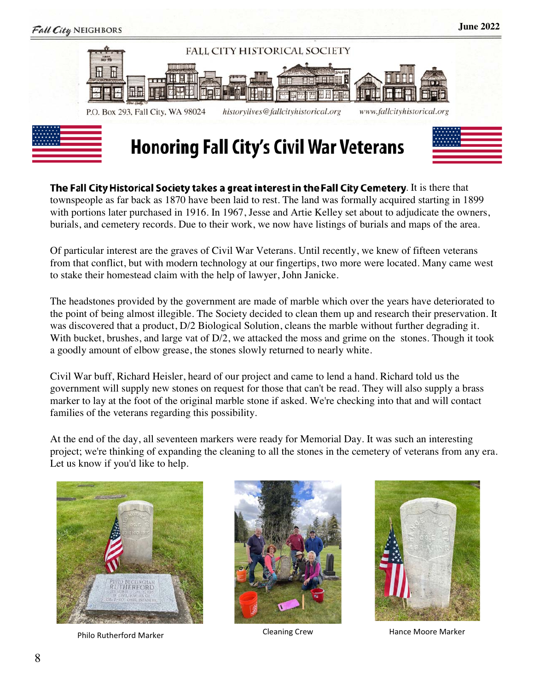

The Fall City Historical Society takes a great interest in the Fall City Cemetery. It is there that townspeople as far back as 1870 have been laid to rest. The land was formally acquired starting in 1899 with portions later purchased in 1916. In 1967, Jesse and Artie Kelley set about to adjudicate the owners, burials, and cemetery records. Due to their work, we now have listings of burials and maps of the area.

Of particular interest are the graves of Civil War Veterans. Until recently, we knew of fifteen veterans from that conflict, but with modern technology at our fingertips, two more were located. Many came west to stake their homestead claim with the help of lawyer, John Janicke.

The headstones provided by the government are made of marble which over the years have deteriorated to the point of being almost illegible. The Society decided to clean them up and research their preservation. It was discovered that a product, D/2 Biological Solution, cleans the marble without further degrading it. With bucket, brushes, and large vat of  $D/2$ , we attacked the moss and grime on the stones. Though it took a goodly amount of elbow grease, the stones slowly returned to nearly white.

Civil War buff, Richard Heisler, heard of our project and came to lend a hand. Richard told us the government will supply new stones on request for those that can't be read. They will also supply a brass marker to lay at the foot of the original marble stone if asked. We're checking into that and will contact families of the veterans regarding this possibility.

At the end of the day, all seventeen markers were ready for Memorial Day. It was such an interesting project; we're thinking of expanding the cleaning to all the stones in the cemetery of veterans from any era. Let us know if you'd like to help.



Philo Rutherford Marker **Cleaning Crew** Cleaning Crew Hance Moore Marker